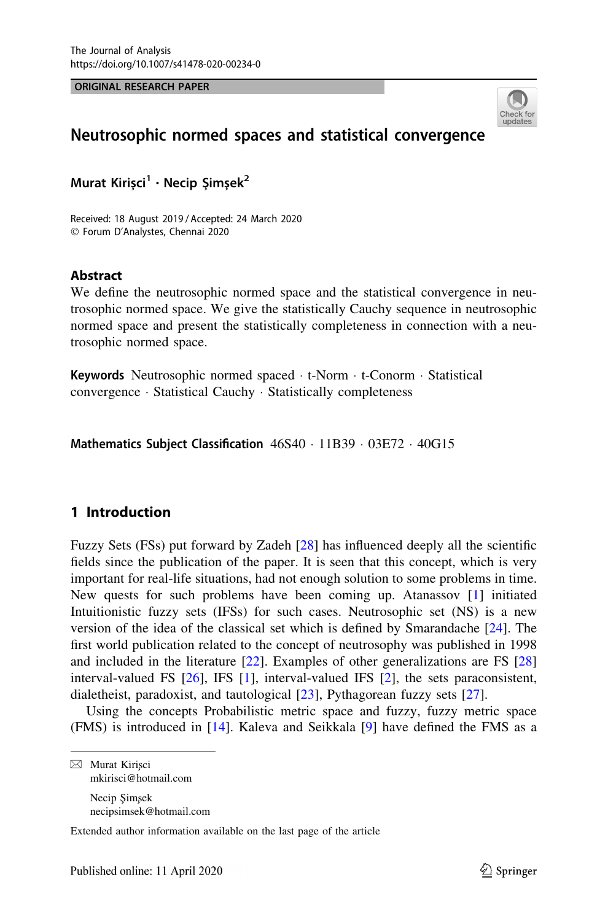ORIGINAL RESEARCH PAPER



# Neutrosophic normed spaces and statistical convergence

Murat Kirisci<sup>1</sup> · Necip Simsek<sup>2</sup>

Received: 18 August 2019 / Accepted: 24 March 2020 - Forum D'Analystes, Chennai 2020

### Abstract

We define the neutrosophic normed space and the statistical convergence in neutrosophic normed space. We give the statistically Cauchy sequence in neutrosophic normed space and present the statistically completeness in connection with a neutrosophic normed space.

Keywords Neutrosophic normed spaced · t-Norm · t-Conorm · Statistical convergence - Statistical Cauchy - Statistically completeness

Mathematics Subject Classification  $46S40 \cdot 11B39 \cdot 03E72 \cdot 40G15$ 

## 1 Introduction

Fuzzy Sets (FSs) put forward by Zadeh [\[28](#page-14-0)] has influenced deeply all the scientific fields since the publication of the paper. It is seen that this concept, which is very important for real-life situations, had not enough solution to some problems in time. New quests for such problems have been coming up. Atanassov [[1\]](#page-13-0) initiated Intuitionistic fuzzy sets (IFSs) for such cases. Neutrosophic set (NS) is a new version of the idea of the classical set which is defined by Smarandache [[24\]](#page-14-0). The first world publication related to the concept of neutrosophy was published in 1998 and included in the literature [[22\]](#page-14-0). Examples of other generalizations are FS [\[28\]](#page-14-0) interval-valued FS [\[26](#page-14-0)], IFS [\[1](#page-13-0)], interval-valued IFS [[2\]](#page-13-0), the sets paraconsistent, dialetheist, paradoxist, and tautological [\[23](#page-14-0)], Pythagorean fuzzy sets [\[27](#page-14-0)].

Using the concepts Probabilistic metric space and fuzzy, fuzzy metric space (FMS) is introduced in [\[14](#page-13-0)]. Kaleva and Seikkala [\[9](#page-13-0)] have defined the FMS as a

 $\boxtimes$  Murat Kirisci mkirisci@hotmail.com Necip Simsek necipsimsek@hotmail.com

Extended author information available on the last page of the article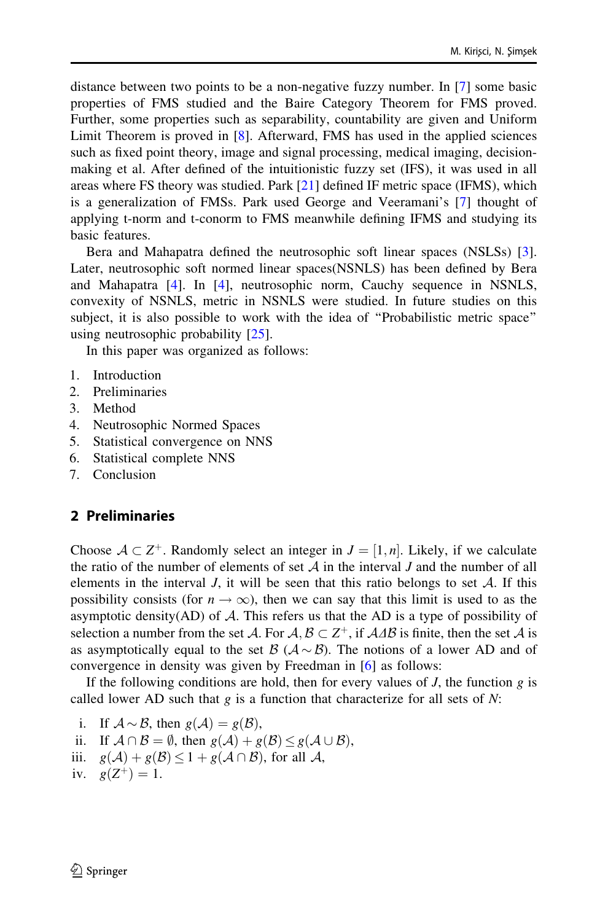<span id="page-1-0"></span>distance between two points to be a non-negative fuzzy number. In [\[7](#page-13-0)] some basic properties of FMS studied and the Baire Category Theorem for FMS proved. Further, some properties such as separability, countability are given and Uniform Limit Theorem is proved in [\[8](#page-13-0)]. Afterward, FMS has used in the applied sciences such as fixed point theory, image and signal processing, medical imaging, decisionmaking et al. After defined of the intuitionistic fuzzy set (IFS), it was used in all areas where FS theory was studied. Park [[21\]](#page-14-0) defined IF metric space (IFMS), which is a generalization of FMSs. Park used George and Veeramani's [\[7](#page-13-0)] thought of applying t-norm and t-conorm to FMS meanwhile defining IFMS and studying its basic features.

Bera and Mahapatra defined the neutrosophic soft linear spaces (NSLSs) [[3\]](#page-13-0). Later, neutrosophic soft normed linear spaces(NSNLS) has been defined by Bera and Mahapatra [\[4](#page-13-0)]. In [[4\]](#page-13-0), neutrosophic norm, Cauchy sequence in NSNLS, convexity of NSNLS, metric in NSNLS were studied. In future studies on this subject, it is also possible to work with the idea of ''Probabilistic metric space'' using neutrosophic probability [[25\]](#page-14-0).

In this paper was organized as follows:

- 1. Introduction
- 2. Preliminaries
- 3. Method
- 4. Neutrosophic Normed Spaces
- 5. Statistical convergence on NNS
- 6. Statistical complete NNS
- 7. Conclusion

### 2 Preliminaries

Choose  $A \subset Z^+$ . Randomly select an integer in  $J = [1, n]$ . Likely, if we calculate the ratio of the number of elements of set  $A$  in the interval  $J$  and the number of all elements in the interval J, it will be seen that this ratio belongs to set  $A$ . If this possibility consists (for  $n \to \infty$ ), then we can say that this limit is used to as the asymptotic density(AD) of  $\mathcal A$ . This refers us that the AD is a type of possibility of selection a number from the set A. For  $A, B \subset Z^+$ , if  $A \Delta B$  is finite, then the set A is as asymptotically equal to the set  $\mathcal{B}$  ( $\mathcal{A} \sim \mathcal{B}$ ). The notions of a lower AD and of convergence in density was given by Freedman in [[6\]](#page-13-0) as follows:

If the following conditions are hold, then for every values of  $J$ , the function g is called lower AD such that g is a function that characterize for all sets of  $N$ :

i. If  $A \sim \mathcal{B}$ , then  $g(A) = g(\mathcal{B})$ , ii. If  $A \cap B = \emptyset$ , then  $g(A) + g(B) \leq g(A \cup B)$ , iii.  $g(\mathcal{A}) + g(\mathcal{B}) \leq 1 + g(\mathcal{A} \cap \mathcal{B})$ , for all  $\mathcal{A}$ , iv.  $g(Z^+) = 1$ .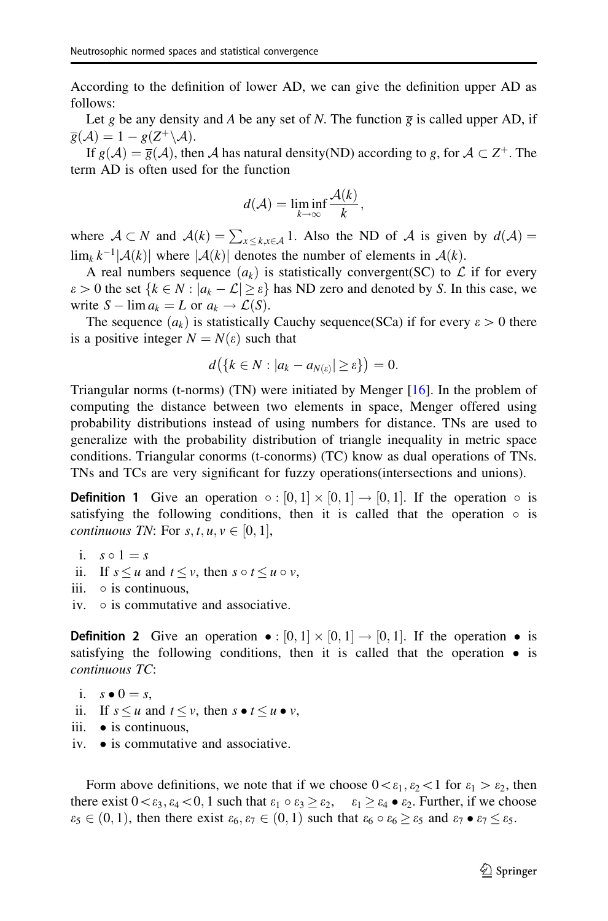According to the definition of lower AD, we can give the definition upper AD as follows:

Let g be any density and A be any set of N. The function  $\overline{g}$  is called upper AD, if  $\overline{g}(\mathcal{A}) = 1 - g(Z^+\backslash \mathcal{A}).$ 

If  $g(\mathcal{A}) = \overline{g}(\mathcal{A})$ , then A has natural density(ND) according to g, for  $\mathcal{A} \subset \mathbb{Z}^+$ . The term AD is often used for the function

$$
d(\mathcal{A}) = \liminf_{k \to \infty} \frac{\mathcal{A}(k)}{k},
$$

where  $A \subset N$  and  $A(k) = \sum_{x \le k, x \in A} 1$ . Also the ND of A is given by  $d(A) =$  $\lim_k k^{-1}|\mathcal{A}(k)|$  where  $|\mathcal{A}(k)|$  denotes the number of elements in  $\mathcal{A}(k)$ .

A real numbers sequence  $(a_k)$  is statistically convergent(SC) to  $\mathcal L$  if for every  $\varepsilon > 0$  the set  $\{k \in N : |a_k - \mathcal{L}| \geq \varepsilon\}$  has ND zero and denoted by S. In this case, we write  $S - \lim a_k = L$  or  $a_k \to \mathcal{L}(S)$ .

The sequence  $(a_k)$  is statistically Cauchy sequence(SCa) if for every  $\varepsilon > 0$  there is a positive integer  $N = N(\varepsilon)$  such that

$$
d\big(\{k\in N:|a_k-a_{N(\varepsilon)}|\geq \varepsilon\}\big)=0.
$$

Triangular norms (t-norms) (TN) were initiated by Menger [[16\]](#page-14-0). In the problem of computing the distance between two elements in space, Menger offered using probability distributions instead of using numbers for distance. TNs are used to generalize with the probability distribution of triangle inequality in metric space conditions. Triangular conorms (t-conorms) (TC) know as dual operations of TNs. TNs and TCs are very significant for fuzzy operations(intersections and unions).

**Definition 1** Give an operation  $\circ$  :  $[0,1] \times [0,1] \rightarrow [0,1]$ . If the operation  $\circ$  is satisfying the following conditions, then it is called that the operation  $\circ$  is *continuous TN*: For  $s, t, u, v \in [0, 1],$ 

i.  $s \circ 1 = s$ 

- ii. If  $s \le u$  and  $t \le v$ , then  $s \circ t \le u \circ v$ ,
- iii.  $\circ$  is continuous,
- iv.  $\circ$  is commutative and associative.

**Definition 2** Give an operation  $\bullet : [0,1] \times [0,1] \rightarrow [0,1]$ . If the operation  $\bullet$  is satisfying the following conditions, then it is called that the operation  $\bullet$  is continuous TC:

i.  $s \bullet 0 = s$ .

ii. If  $s \le u$  and  $t \le v$ , then  $s \bullet t \le u \bullet v$ ,

- iii.  $\bullet$  is continuous.
- $iv.$   $\bullet$  is commutative and associative.

Form above definitions, we note that if we choose  $0<\varepsilon_1,\varepsilon_2\lt1$  for  $\varepsilon_1 > \varepsilon_2$ , then there exist  $0<\varepsilon_3, \varepsilon_4<0, 1$  such that  $\varepsilon_1 \circ \varepsilon_3 \geq \varepsilon_2$ ,  $\varepsilon_1 \geq \varepsilon_4 \bullet \varepsilon_2$ . Further, if we choose  $\varepsilon_5 \in (0, 1)$ , then there exist  $\varepsilon_6$ ,  $\varepsilon_7 \in (0, 1)$  such that  $\varepsilon_6 \circ \varepsilon_6 \geq \varepsilon_5$  and  $\varepsilon_7 \bullet \varepsilon_7 \leq \varepsilon_5$ .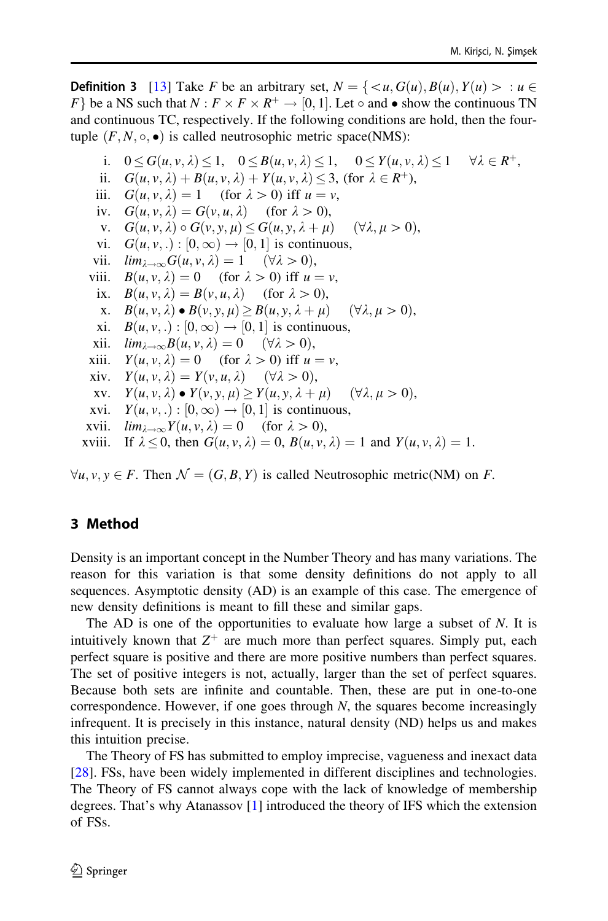**Definition 3** [[13\]](#page-13-0) Take F be an arbitrary set,  $N = \{ \langle u, G(u), B(u), Y(u) \rangle : u \in$ F} be a NS such that  $N: F \times F \times R^+ \to [0, 1]$ . Let  $\circ$  and  $\bullet$  show the continuous TN and continuous TC, respectively. If the following conditions are hold, then the fourtuple  $(F, N, \circ, \bullet)$  is called neutrosophic metric space(NMS):

i.  $0 \le G(u, v, \lambda) \le 1$ ,  $0 \le B(u, v, \lambda) \le 1$ ,  $0 \le Y(u, v, \lambda) \le 1 \quad \forall \lambda \in R^+$ , ii.  $G(u, v, \lambda) + B(u, v, \lambda) + Y(u, v, \lambda) \leq 3$ , (for  $\lambda \in R^+$ ), iii.  $G(u, v, \lambda) = 1$  (for  $\lambda > 0$ ) iff  $u = v$ , iv.  $G(u, v, \lambda) = G(v, u, \lambda)$  (for  $\lambda > 0$ ), v.  $G(u, v, \lambda) \circ G(v, y, \mu) \leq G(u, y, \lambda + \mu)$   $(\forall \lambda, \mu > 0),$ vi.  $G(u, v, .): [0, \infty) \rightarrow [0, 1]$  is continuous, vii.  $\lim_{\lambda \to \infty} G(u, v, \lambda) = 1 \quad (\forall \lambda > 0),$ <br>viii.  $B(u, v, \lambda) = 0 \quad \text{(for } \lambda > 0 \text{) iff } u = 0$ (for  $\lambda > 0$ ) iff  $u = v$ , ix.  $B(u, v, \lambda) = B(v, u, \lambda)$  (for  $\lambda > 0$ ), x.  $B(u, v, \lambda) \bullet B(v, y, \mu) \ge B(u, y, \lambda + \mu) \quad (\forall \lambda, \mu > 0),$ xi.  $B(u, v, .): [0, \infty) \rightarrow [0, 1]$  is continuous, xii.  $\lim_{\lambda \to \infty} B(u, v, \lambda) = 0 \quad (\forall \lambda > 0),$ xiii.  $Y(u, v, \lambda) = 0$  (for  $\lambda > 0$ ) iff  $u = v$ , xiv.  $Y(u, v, \lambda) = Y(v, u, \lambda) \quad (\forall \lambda > 0),$ xv.  $Y(u, v, \lambda) \bullet Y(v, y, \mu) \geq Y(u, y, \lambda + \mu) \quad (\forall \lambda, \mu > 0),$ xvi.  $Y(u, v, .): [0, \infty) \rightarrow [0, 1]$  is continuous, xvii.  $\lim_{\lambda \to \infty} Y(u, v, \lambda) = 0$  (for  $\lambda > 0$ ), xviii. If  $\lambda \leq 0$ , then  $G(u, v, \lambda) = 0$ ,  $B(u, v, \lambda) = 1$  and  $Y(u, v, \lambda) = 1$ .

 $\forall u, v, y \in F$ . Then  $\mathcal{N} = (G, B, Y)$  is called Neutrosophic metric(NM) on F.

### 3 Method

Density is an important concept in the Number Theory and has many variations. The reason for this variation is that some density definitions do not apply to all sequences. Asymptotic density (AD) is an example of this case. The emergence of new density definitions is meant to fill these and similar gaps.

The AD is one of the opportunities to evaluate how large a subset of  $N$ . It is intuitively known that  $Z^+$  are much more than perfect squares. Simply put, each perfect square is positive and there are more positive numbers than perfect squares. The set of positive integers is not, actually, larger than the set of perfect squares. Because both sets are infinite and countable. Then, these are put in one-to-one correspondence. However, if one goes through  $N$ , the squares become increasingly infrequent. It is precisely in this instance, natural density (ND) helps us and makes this intuition precise.

The Theory of FS has submitted to employ imprecise, vagueness and inexact data [\[28](#page-14-0)]. FSs, have been widely implemented in different disciplines and technologies. The Theory of FS cannot always cope with the lack of knowledge of membership degrees. That's why Atanassov [[1\]](#page-13-0) introduced the theory of IFS which the extension of FSs.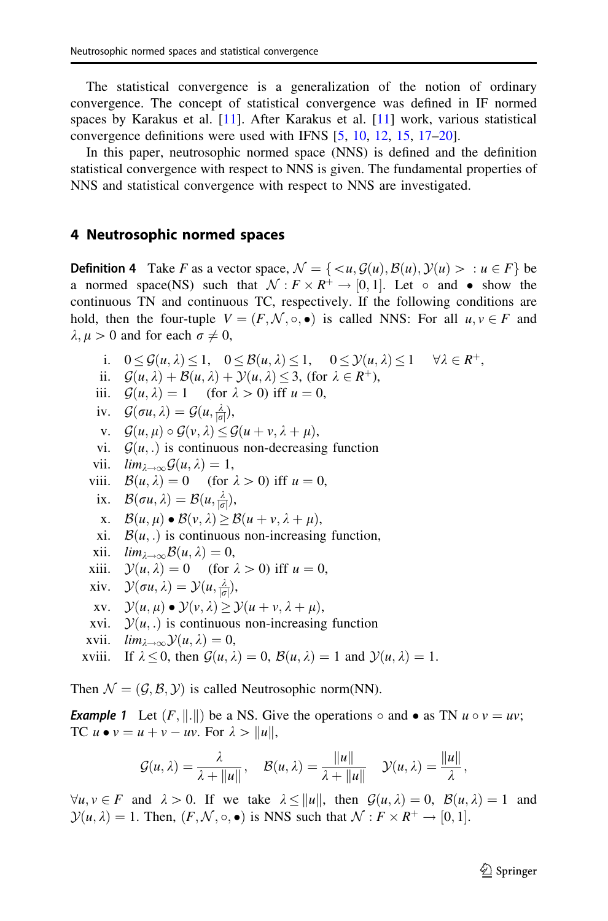<span id="page-4-0"></span>The statistical convergence is a generalization of the notion of ordinary convergence. The concept of statistical convergence was defined in IF normed spaces by Karakus et al. [\[11](#page-13-0)]. After Karakus et al. [\[11](#page-13-0)] work, various statistical convergence definitions were used with IFNS [\[5](#page-13-0), [10,](#page-13-0) [12,](#page-13-0) [15,](#page-14-0) [17–20](#page-14-0)].

In this paper, neutrosophic normed space (NNS) is defined and the definition statistical convergence with respect to NNS is given. The fundamental properties of NNS and statistical convergence with respect to NNS are investigated.

### 4 Neutrosophic normed spaces

**Definition 4** Take F as a vector space,  $\mathcal{N} = \{ \langle u, \mathcal{G}(u), \mathcal{B}(u), \mathcal{Y}(u) \rangle : u \in F \}$  be a normed space(NS) such that  $\mathcal{N}: F \times R^+ \to [0,1]$ . Let  $\circ$  and  $\bullet$  show the continuous TN and continuous TC, respectively. If the following conditions are hold, then the four-tuple  $V = (F, \mathcal{N}, \circ, \bullet)$  is called NNS: For all  $u, v \in F$  and  $\lambda, \mu > 0$  and for each  $\sigma \neq 0$ ,

i.  $0 \leq \mathcal{G}(u, \lambda) \leq 1$ ,  $0 \leq \mathcal{B}(u, \lambda) \leq 1$ ,  $0 \leq \mathcal{Y}(u, \lambda) \leq 1 \quad \forall \lambda \in \mathbb{R}^+$ , ii.  $\mathcal{G}(u, \lambda) + \mathcal{B}(u, \lambda) + \mathcal{Y}(u, \lambda) \leq 3$ , (for  $\lambda \in \mathbb{R}^+$ ), iii.  $G(u, \lambda) = 1$  (for  $\lambda > 0$ ) iff  $u = 0$ , iv.  $\mathcal{G}(\sigma u, \lambda) = \mathcal{G}(u, \frac{\lambda}{|\sigma|}),$ v.  $\mathcal{G}(u, \mu) \circ \mathcal{G}(v, \lambda) \leq \mathcal{G}(u + v, \lambda + \mu),$ vi.  $G(u,.)$  is continuous non-decreasing function vii.  $\lim_{\lambda \to \infty} \mathcal{G}(u, \lambda) = 1$ , viii.  $\mathcal{B}(u, \lambda) = 0$  (for  $\lambda > 0$ ) iff  $u = 0$ , ix.  $\mathcal{B}(\sigma u, \lambda) = \mathcal{B}(u, \frac{\lambda}{|\sigma|}),$ x.  $\mathcal{B}(u, \mu) \bullet \mathcal{B}(v, \lambda) \geq \mathcal{B}(u + v, \lambda + \mu),$ xi.  $B(u,.)$  is continuous non-increasing function, xii.  $\lim_{\lambda \to \infty} \mathcal{B}(u, \lambda) = 0$ , xiii.  $\mathcal{Y}(u, \lambda) = 0$  (for  $\lambda > 0$ ) iff  $u = 0$ , xiv.  $\mathcal{Y}(\sigma u, \lambda) = \mathcal{Y}(u, \frac{\lambda}{|\sigma|}),$ xv.  $\mathcal{Y}(u, \mu) \bullet \mathcal{Y}(v, \lambda) \geq \mathcal{Y}(u + v, \lambda + \mu),$ xvi.  $\mathcal{Y}(u,.)$  is continuous non-increasing function xvii.  $\lim_{\lambda \to \infty} \mathcal{Y}(u, \lambda) = 0$ , xviii. If  $\lambda \leq 0$ , then  $\mathcal{G}(u, \lambda) = 0$ ,  $\mathcal{B}(u, \lambda) = 1$  and  $\mathcal{Y}(u, \lambda) = 1$ .

Then  $\mathcal{N} = (\mathcal{G}, \mathcal{B}, \mathcal{Y})$  is called Neutrosophic norm(NN).

**Example 1** Let  $(F, \|\cdot\|)$  be a NS. Give the operations  $\circ$  and  $\bullet$  as TN  $u \circ v = uv$ ; TC  $u \bullet v = u + v - uv$ . For  $\lambda > ||u||$ ,

$$
\mathcal{G}(u,\lambda)=\frac{\lambda}{\lambda+\|u\|},\quad \mathcal{B}(u,\lambda)=\frac{\|u\|}{\lambda+\|u\|}\quad \mathcal{Y}(u,\lambda)=\frac{\|u\|}{\lambda},
$$

 $\forall u, v \in F$  and  $\lambda > 0$ . If we take  $\lambda \leq ||u||$ , then  $\mathcal{G}(u, \lambda) = 0$ ,  $\mathcal{B}(u, \lambda) = 1$  and  $\mathcal{Y}(u, \lambda) = 1$ . Then,  $(F, \mathcal{N}, \circ, \bullet)$  is NNS such that  $\mathcal{N} : F \times R^+ \to [0, 1]$ .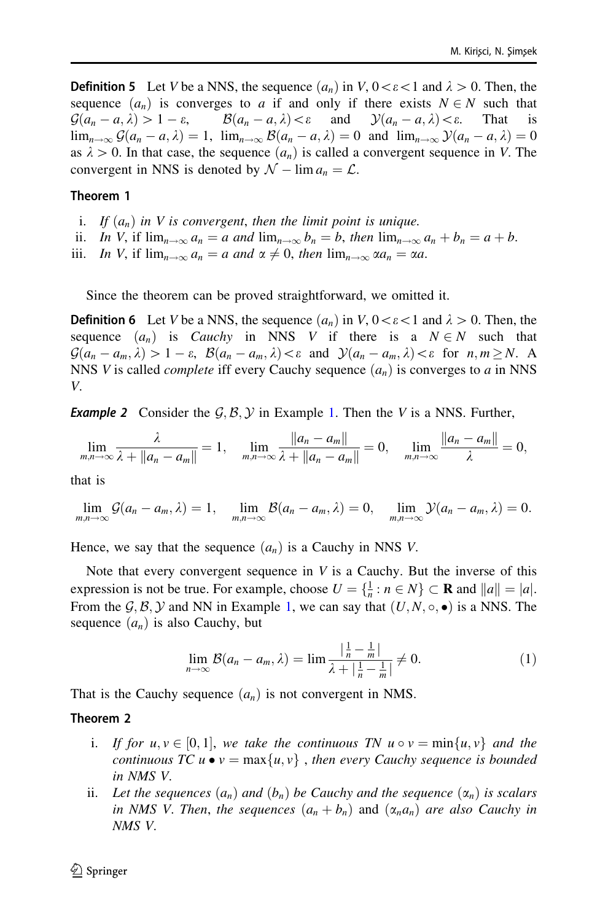**Definition 5** Let V be a NNS, the sequence  $(a_n)$  in V,  $0 \lt \epsilon \lt 1$  and  $\lambda > 0$ . Then, the sequence  $(a_n)$  is converges to a if and only if there exists  $N \in N$  such that  $\mathcal{G}(a_n - a, \lambda) > 1 - \varepsilon$ ,  $\mathcal{B}(a_n - a, \lambda) < \varepsilon$  and  $\mathcal{Y}(a_n - a, \lambda) < \varepsilon$ . That is  $\lim_{n\to\infty} \mathcal{G}(a_n - a, \lambda) = 1$ ,  $\lim_{n\to\infty} \mathcal{B}(a_n - a, \lambda) = 0$  and  $\lim_{n\to\infty} \mathcal{Y}(a_n - a, \lambda) = 0$ as  $\lambda > 0$ . In that case, the sequence  $(a_n)$  is called a convergent sequence in V. The convergent in NNS is denoted by  $\mathcal{N} - \lim a_n = \mathcal{L}$ .

#### Theorem 1

i. If  $(a_n)$  in V is convergent, then the limit point is unique.

ii. In V, if  $\lim_{n\to\infty} a_n = a$  and  $\lim_{n\to\infty} b_n = b$ , then  $\lim_{n\to\infty} a_n + b_n = a + b$ .

iii. In V, if  $\lim_{n\to\infty} a_n = a$  and  $\alpha \neq 0$ , then  $\lim_{n\to\infty} \alpha a_n = \alpha a$ .

Since the theorem can be proved straightforward, we omitted it.

**Definition 6** Let V be a NNS, the sequence  $(a_n)$  in V,  $0 \lt \epsilon \lt 1$  and  $\lambda > 0$ . Then, the sequence  $(a_n)$  is *Cauchy* in NNS V if there is a  $N \in N$  such that  $\mathcal{G}(a_n - a_m, \lambda) > 1 - \varepsilon$ ,  $\mathcal{B}(a_n - a_m, \lambda) < \varepsilon$  and  $\mathcal{Y}(a_n - a_m, \lambda) < \varepsilon$  for  $n, m \ge N$ . A NNS V is called *complete* iff every Cauchy sequence  $(a_n)$  is converges to a in NNS V.

**Example 2** Consider the  $\mathcal{G}, \mathcal{B}, \mathcal{Y}$  in Example [1](#page-4-0). Then the V is a NNS. Further,

$$
\lim_{m,n\to\infty}\frac{\lambda}{\lambda+\|a_n-a_m\|}=1,\quad \lim_{m,n\to\infty}\frac{\|a_n-a_m\|}{\lambda+\|a_n-a_m\|}=0,\quad \lim_{m,n\to\infty}\frac{\|a_n-a_m\|}{\lambda}=0,
$$

that is

$$
\lim_{m,n\to\infty}\mathcal{G}(a_n-a_m,\lambda)=1,\quad \lim_{m,n\to\infty}\mathcal{B}(a_n-a_m,\lambda)=0,\quad \lim_{m,n\to\infty}\mathcal{Y}(a_n-a_m,\lambda)=0.
$$

Hence, we say that the sequence  $(a_n)$  is a Cauchy in NNS V.

Note that every convergent sequence in  $V$  is a Cauchy. But the inverse of this expression is not be true. For example, choose  $U = \{\frac{1}{n} : n \in N\} \subset \mathbf{R}$  and  $||a|| = |a|$ . From the G, B, Y and NN in Example [1](#page-4-0), we can say that  $(U, N, \circ, \bullet)$  is a NNS. The sequence  $(a_n)$  is also Cauchy, but

$$
\lim_{n \to \infty} \mathcal{B}(a_n - a_m, \lambda) = \lim \frac{\left|\frac{1}{n} - \frac{1}{m}\right|}{\lambda + \left|\frac{1}{n} - \frac{1}{m}\right|} \neq 0. \tag{1}
$$

That is the Cauchy sequence  $(a_n)$  is not convergent in NMS.

#### Theorem 2

- i. If for  $u, v \in [0, 1]$ , we take the continuous TN  $u \circ v = \min\{u, v\}$  and the continuous TC  $u \bullet v = \max\{u, v\}$ , then every Cauchy sequence is bounded in NMS V.
- ii. Let the sequences  $(a_n)$  and  $(b_n)$  be Cauchy and the sequence  $(\alpha_n)$  is scalars in NMS V. Then, the sequences  $(a_n + b_n)$  and  $(\alpha_n a_n)$  are also Cauchy in NMS V.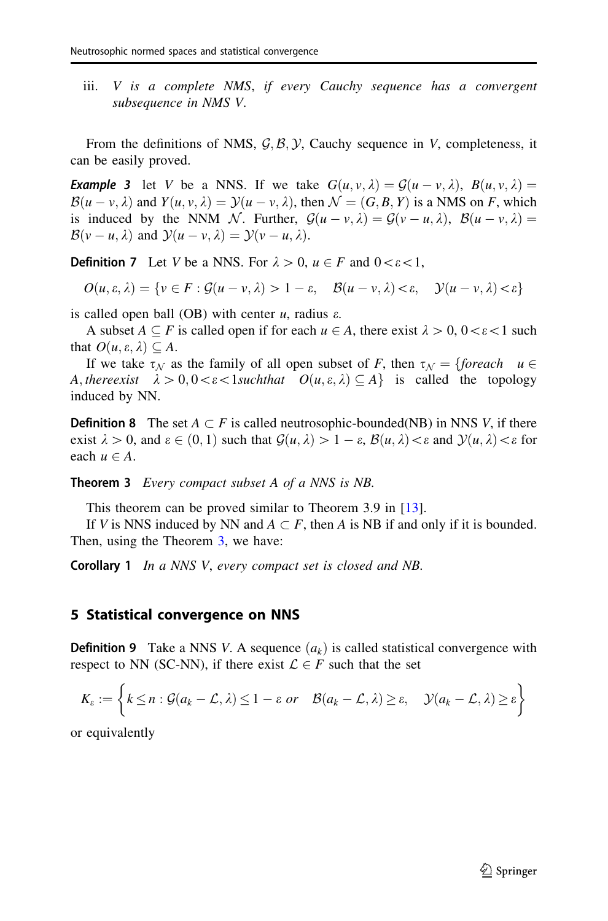<span id="page-6-0"></span>iii. V is a complete NMS, if every Cauchy sequence has a convergent subsequence in NMS V.

From the definitions of NMS,  $\mathcal{G}, \mathcal{B}, \mathcal{Y}$ , Cauchy sequence in V, completeness, it can be easily proved.

**Example 3** let V be a NNS. If we take  $G(u, v, \lambda) = G(u - v, \lambda)$ ,  $B(u, v, \lambda) =$  $\mathcal{B}(u - v, \lambda)$  and  $Y(u, v, \lambda) = \mathcal{Y}(u - v, \lambda)$ , then  $\mathcal{N} = (G, B, Y)$  is a NMS on F, which is induced by the NNM N. Further,  $\mathcal{G}(u - v, \lambda) = \mathcal{G}(v - u, \lambda), \ \mathcal{B}(u - v, \lambda) =$  $\mathcal{B}(v - u, \lambda)$  and  $\mathcal{Y}(u - v, \lambda) = \mathcal{Y}(v - u, \lambda)$ .

**Definition 7** Let V be a NNS. For  $\lambda > 0$ ,  $u \in F$  and  $0 < \varepsilon < 1$ ,

$$
O(u, \varepsilon, \lambda) = \{v \in F : \mathcal{G}(u - v, \lambda) > 1 - \varepsilon, \quad \mathcal{B}(u - v, \lambda) < \varepsilon, \quad \mathcal{Y}(u - v, \lambda) < \varepsilon\}
$$

is called open ball (OB) with center  $u$ , radius  $\varepsilon$ .

A subset  $A \subseteq F$  is called open if for each  $u \in A$ , there exist  $\lambda > 0$ ,  $0 < \varepsilon < 1$  such that  $O(u, \varepsilon, \lambda) \subseteq A$ .

If we take  $\tau_N$  as the family of all open subset of F, then  $\tau_N = \{foreach \mid u \in$ A, there exist  $\lambda > 0, 0 < \varepsilon < 1$  such that  $O(u, \varepsilon, \lambda) \subseteq A$  is called the topology induced by NN.

**Definition 8** The set  $A \subset F$  is called neutrosophic-bounded(NB) in NNS V, if there exist  $\lambda > 0$ , and  $\varepsilon \in (0, 1)$  such that  $\mathcal{G}(u, \lambda) > 1 - \varepsilon$ ,  $\mathcal{B}(u, \lambda) < \varepsilon$  and  $\mathcal{Y}(u, \lambda) < \varepsilon$  for each  $u \in A$ .

Theorem 3 Every compact subset A of a NNS is NB.

This theorem can be proved similar to Theorem 3.9 in [[13\]](#page-13-0).

If V is NNS induced by NN and  $A \subset F$ , then A is NB if and only if it is bounded. Then, using the Theorem 3, we have:

Corollary 1 In a NNS V, every compact set is closed and NB.

### 5 Statistical convergence on NNS

**Definition 9** Take a NNS V. A sequence  $(a_k)$  is called statistical convergence with respect to NN (SC-NN), if there exist  $\mathcal{L} \in F$  such that the set

$$
K_{\varepsilon}:=\left\{k\leq n: \mathcal{G}(a_k-\mathcal{L},\lambda)\leq 1-\varepsilon \text{ or } \mathcal{B}(a_k-\mathcal{L},\lambda)\geq \varepsilon, \quad \mathcal{Y}(a_k-\mathcal{L},\lambda)\geq \varepsilon\right\}
$$

or equivalently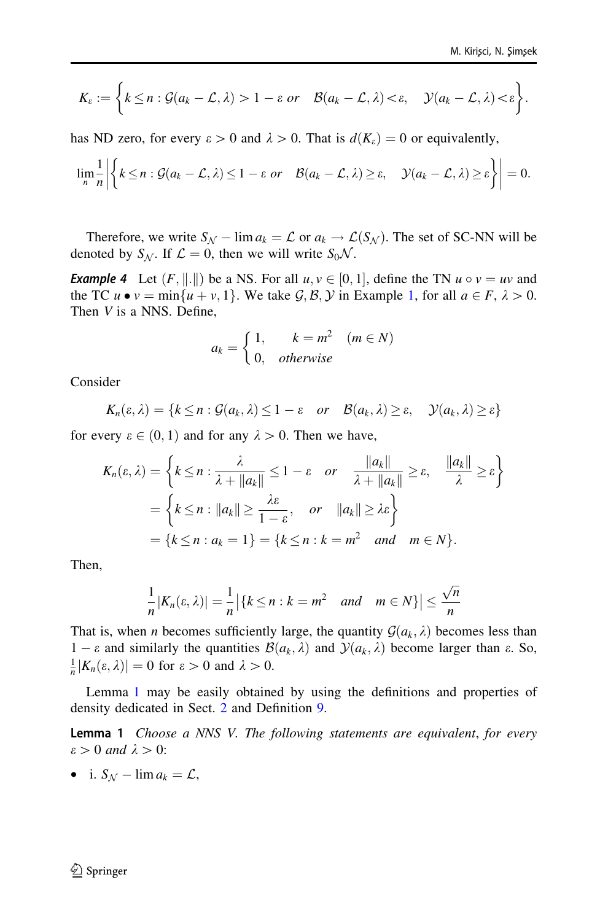<span id="page-7-0"></span>
$$
K_{\varepsilon}:=\bigg\{k\leq n: \mathcal{G}(a_k-\mathcal{L},\lambda)>1-\varepsilon \text{ or } \mathcal{B}(a_k-\mathcal{L},\lambda)<\varepsilon, \quad \mathcal{Y}(a_k-\mathcal{L},\lambda)<\varepsilon\bigg\}.
$$

has ND zero, for every  $\varepsilon > 0$  and  $\lambda > 0$ . That is  $d(K_{\varepsilon}) = 0$  or equivalently,

$$
\lim_{n}\frac{1}{n}\bigg|\bigg\{k\leq n: \mathcal{G}(a_k-\mathcal{L},\lambda)\leq 1-\varepsilon \text{ or } \mathcal{B}(a_k-\mathcal{L},\lambda)\geq \varepsilon, \quad \mathcal{Y}(a_k-\mathcal{L},\lambda)\geq \varepsilon\bigg\}\bigg|=0.
$$

Therefore, we write  $S_N - \lim a_k = \mathcal{L}$  or  $a_k \to \mathcal{L}(S_N)$ . The set of SC-NN will be denoted by  $S_N$ . If  $\mathcal{L} = 0$ , then we will write  $S_0 \mathcal{N}$ .

**Example 4** Let  $(F, \|\cdot\|)$  be a NS. For all  $u, v \in [0, 1]$ , define the TN  $u \circ v = uv$  and the TC  $u \bullet v = \min\{u + v, 1\}$ . We take  $\mathcal{G}, \mathcal{B}, \mathcal{Y}$  in Example [1,](#page-4-0) for all  $a \in F$ ,  $\lambda > 0$ . Then  $V$  is a NNS. Define,

$$
a_k = \begin{cases} 1, & k = m^2 \quad (m \in N) \\ 0, & otherwise \end{cases}
$$

Consider

$$
K_n(\varepsilon, \lambda) = \{k \le n : \mathcal{G}(a_k, \lambda) \le 1 - \varepsilon \quad or \quad \mathcal{B}(a_k, \lambda) \ge \varepsilon, \quad \mathcal{Y}(a_k, \lambda) \ge \varepsilon\}
$$

for every  $\varepsilon \in (0, 1)$  and for any  $\lambda > 0$ . Then we have,

$$
K_n(\varepsilon, \lambda) = \left\{ k \le n : \frac{\lambda}{\lambda + ||a_k||} \le 1 - \varepsilon \quad or \quad \frac{||a_k||}{\lambda + ||a_k||} \ge \varepsilon, \quad \frac{||a_k||}{\lambda} \ge \varepsilon \right\}
$$
  
= 
$$
\left\{ k \le n : ||a_k|| \ge \frac{\lambda \varepsilon}{1 - \varepsilon}, \quad or \quad ||a_k|| \ge \lambda \varepsilon \right\}
$$
  
= 
$$
\left\{ k \le n : a_k = 1 \right\} = \left\{ k \le n : k = m^2 \quad and \quad m \in N \right\}.
$$

Then,

$$
\frac{1}{n}|K_n(\varepsilon,\lambda)|=\frac{1}{n}|\{k\leq n:k=m^2\quad and\quad m\in N\}|\leq \frac{\sqrt{n}}{n}
$$

That is, when *n* becomes sufficiently large, the quantity  $\mathcal{G}(a_k, \lambda)$  becomes less than  $1 - \varepsilon$  and similarly the quantities  $\mathcal{B}(a_k, \lambda)$  and  $\mathcal{Y}(a_k, \lambda)$  become larger than  $\varepsilon$ . So,  $\frac{1}{n} |K_n(\varepsilon, \lambda)| = 0$  for  $\varepsilon > 0$  and  $\lambda > 0$ .

Lemma 1 may be easily obtained by using the definitions and properties of density dedicated in Sect. [2](#page-1-0) and Definition [9](#page-6-0).

**Lemma 1** Choose a NNS V. The following statements are equivalent, for every  $\varepsilon > 0$  and  $\lambda > 0$ :

• i.  $S_N - \lim a_k = \mathcal{L}$ ,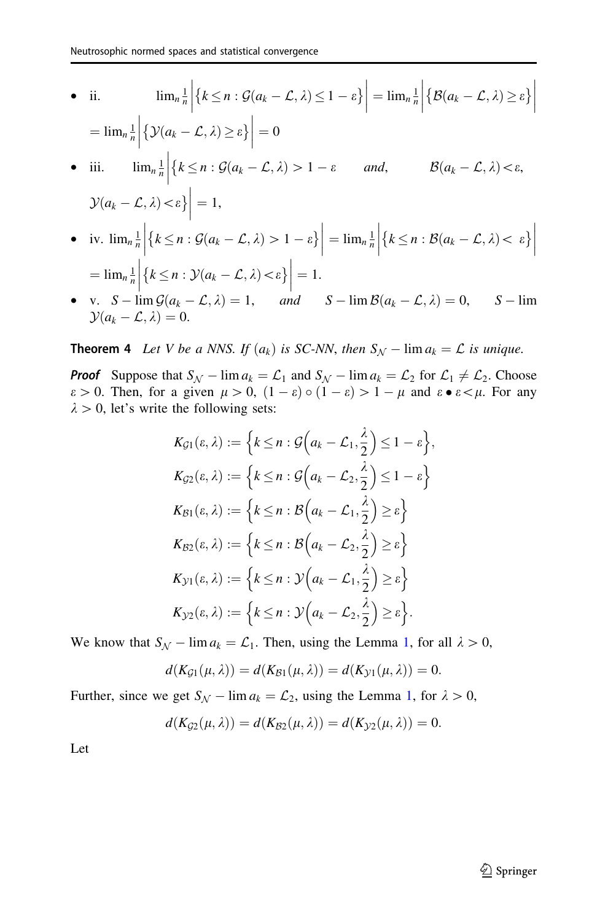- ii.  $\lim_{n \to \infty}$  $\begin{array}{c} \begin{array}{c} \begin{array}{c} \end{array} \\ \begin{array}{c} \end{array} \end{array} \end{array}$  $\left\{ k \leq n : \mathcal{G}(a_k - \mathcal{L}, \lambda) \leq 1 - \varepsilon \right\}$  =  $\lim_{n \to \infty}$  $\begin{array}{c} \n\downarrow \\ \n\downarrow \n\end{array}$  $\left\{ \mathcal{B}(a_k - \mathcal{L}, \lambda) \geq \varepsilon \right\}$  $=$   $\lim_{n} \frac{1}{n}$  $\begin{array}{c} \begin{array}{c} \begin{array}{c} \end{array} \\ \begin{array}{c} \end{array} \end{array} \end{array}$  $\left\{ \mathcal{Y}(a_k - \mathcal{L}, \lambda) \geq \varepsilon \right\} = 0$ • iii.  $\lim_{n \to \infty} \frac{1}{n}$  $\begin{array}{c} \begin{array}{c} \begin{array}{c} \end{array} \\ \begin{array}{c} \end{array} \end{array} \end{array}$  ${k \leq n : \mathcal{G}(a_k - \mathcal{L}, \lambda) > 1 - \varepsilon \text{ and,} \mathcal{B}(a_k - \mathcal{L}, \lambda) < \varepsilon,$  $\mathcal{Y}(a_k - \mathcal{L}, \lambda) < \varepsilon$ } = 1, • iv.  $\lim_{n \to \infty} \frac{1}{n}$  $\begin{array}{c} \begin{array}{c} \begin{array}{c} \end{array} \\ \begin{array}{c} \end{array} \end{array} \end{array}$  $\left\{ k \leq n : \mathcal{G}(a_k - \mathcal{L}, \lambda) > 1 - \varepsilon \right\}$  =  $\lim_{n \to \infty}$  $\begin{array}{c} \begin{array}{c} \begin{array}{c} \end{array} \\ \begin{array}{c} \end{array} \end{array} \end{array}$  $\{k \leq n : \mathcal{B}(a_k - \mathcal{L}, \lambda) < \varepsilon\}\right|$  $=$   $\lim_{n} \frac{1}{n}$  $\begin{array}{c} \begin{array}{c} \begin{array}{c} \end{array} \\ \begin{array}{c} \end{array} \end{array} \end{array}$  $\left\{ k \leq n : \mathcal{Y}(a_k - \mathcal{L}, \lambda) < \varepsilon \right\}$  = 1.
- v.  $S \lim \mathcal{G}(a_k \mathcal{L}, \lambda) = 1$ , and  $S \lim \mathcal{B}(a_k \mathcal{L}, \lambda) = 0$ ,  $S \lim$  $\mathcal{Y}(a_k - \mathcal{L}, \lambda) = 0.$

**Theorem 4** Let V be a NNS. If  $(a_k)$  is SC-NN, then  $S_N - \lim a_k = \mathcal{L}$  is unique.

**Proof** Suppose that  $S_N - \lim a_k = \mathcal{L}_1$  and  $S_N - \lim a_k = \mathcal{L}_2$  for  $\mathcal{L}_1 \neq \mathcal{L}_2$ . Choose  $\varepsilon > 0$ . Then, for a given  $\mu > 0$ ,  $(1 - \varepsilon) \circ (1 - \varepsilon) > 1 - \mu$  and  $\varepsilon \bullet \varepsilon < \mu$ . For any  $\lambda > 0$ , let's write the following sets:

$$
K_{\mathcal{G}1}(\varepsilon,\lambda) := \left\{ k \le n : \mathcal{G}\Big(a_k - \mathcal{L}_1, \frac{\lambda}{2}\Big) \le 1 - \varepsilon \right\},
$$
  
\n
$$
K_{\mathcal{G}2}(\varepsilon,\lambda) := \left\{ k \le n : \mathcal{G}\Big(a_k - \mathcal{L}_2, \frac{\lambda}{2}\Big) \le 1 - \varepsilon \right\}
$$
  
\n
$$
K_{\mathcal{B}1}(\varepsilon,\lambda) := \left\{ k \le n : \mathcal{B}\Big(a_k - \mathcal{L}_1, \frac{\lambda}{2}\Big) \ge \varepsilon \right\}
$$
  
\n
$$
K_{\mathcal{B}2}(\varepsilon,\lambda) := \left\{ k \le n : \mathcal{B}\Big(a_k - \mathcal{L}_2, \frac{\lambda}{2}\Big) \ge \varepsilon \right\}
$$
  
\n
$$
K_{\mathcal{Y}1}(\varepsilon,\lambda) := \left\{ k \le n : \mathcal{Y}\Big(a_k - \mathcal{L}_1, \frac{\lambda}{2}\Big) \ge \varepsilon \right\}
$$
  
\n
$$
K_{\mathcal{Y}2}(\varepsilon,\lambda) := \left\{ k \le n : \mathcal{Y}\Big(a_k - \mathcal{L}_2, \frac{\lambda}{2}\Big) \ge \varepsilon \right\}.
$$

We know that  $S_N - \lim a_k = \mathcal{L}_1$  $S_N - \lim a_k = \mathcal{L}_1$ . Then, using the Lemma 1, for all  $\lambda > 0$ ,

$$
d(K_{\mathcal{G}1}(\mu,\lambda))=d(K_{\mathcal{B}1}(\mu,\lambda))=d(K_{\mathcal{Y}1}(\mu,\lambda))=0.
$$

Further, since we get  $S_N - \lim a_k = \mathcal{L}_2$ , using the Lemma [1](#page-7-0), for  $\lambda > 0$ ,

$$
d(K_{\mathcal{G}_2}(\mu,\lambda))=d(K_{\mathcal{B}_2}(\mu,\lambda))=d(K_{\mathcal{Y}_2}(\mu,\lambda))=0.
$$

Let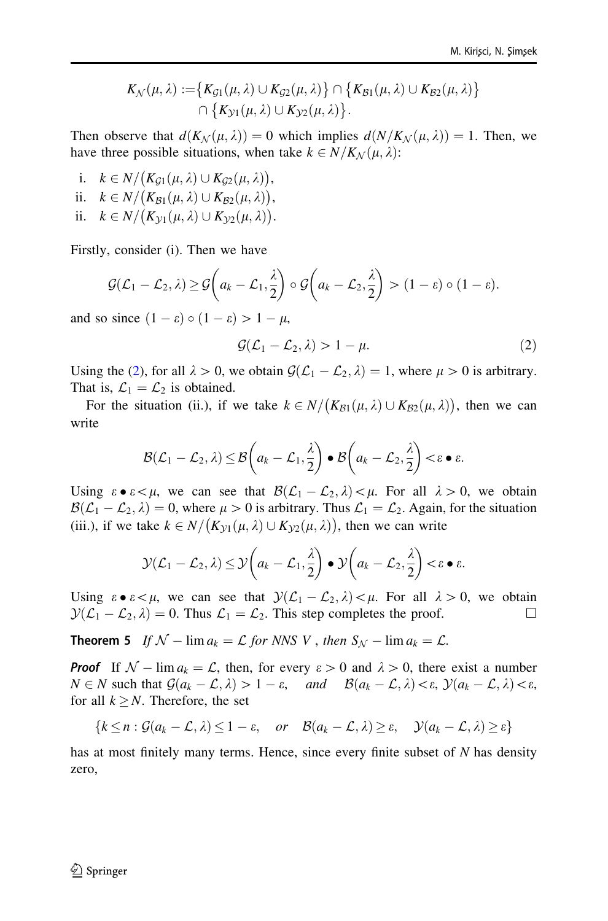$$
K_{\mathcal{N}}(\mu,\lambda) := \{K_{\mathcal{G}1}(\mu,\lambda) \cup K_{\mathcal{G}2}(\mu,\lambda)\} \cap \{K_{\mathcal{B}1}(\mu,\lambda) \cup K_{\mathcal{B}2}(\mu,\lambda)\}
$$

$$
\cap \{K_{\mathcal{Y}1}(\mu,\lambda) \cup K_{\mathcal{Y}2}(\mu,\lambda)\}.
$$

Then observe that  $d(K_N(\mu, \lambda)) = 0$  which implies  $d(N/K_N(\mu, \lambda)) = 1$ . Then, we have three possible situations, when take  $k \in N/K<sub>N</sub>(\mu, \lambda)$ :

i.  $k \in N / (K_{\mathcal{G}_1}(\mu, \lambda) \cup K_{\mathcal{G}_2}(\mu, \lambda)),$ ii.  $k \in N / (K_{\mathcal{B}1}(\mu, \lambda) \cup K_{\mathcal{B}2}(\mu, \lambda)),$ ii.  $k \in N / (K_{\mathcal{Y}_1}(\mu, \lambda) \cup K_{\mathcal{Y}_2}(\mu, \lambda)).$ 

Firstly, consider (i). Then we have

$$
\mathcal{G}(\mathcal{L}_1-\mathcal{L}_2,\lambda)\geq \mathcal{G}\left(a_k-\mathcal{L}_1,\frac{\lambda}{2}\right)\circ\mathcal{G}\left(a_k-\mathcal{L}_2,\frac{\lambda}{2}\right)>(1-\varepsilon)\circ(1-\varepsilon).
$$

and so since  $(1 - \varepsilon) \circ (1 - \varepsilon) > 1 - \mu$ ,

$$
\mathcal{G}(\mathcal{L}_1 - \mathcal{L}_2, \lambda) > 1 - \mu. \tag{2}
$$

Using the (2), for all  $\lambda > 0$ , we obtain  $\mathcal{G}(\mathcal{L}_1 - \mathcal{L}_2, \lambda) = 1$ , where  $\mu > 0$  is arbitrary. That is,  $\mathcal{L}_1 = \mathcal{L}_2$  is obtained.

For the situation (ii.), if we take  $k \in N/(K_{\mathcal{B}1}(\mu, \lambda) \cup K_{\mathcal{B}2}(\mu, \lambda))$ , then we can write

$$
\mathcal{B}(\mathcal{L}_1-\mathcal{L}_2,\lambda)\leq \mathcal{B}\bigg(a_k-\mathcal{L}_1,\frac{\lambda}{2}\bigg)\bullet \mathcal{B}\bigg(a_k-\mathcal{L}_2,\frac{\lambda}{2}\bigg)<\varepsilon\bullet\varepsilon.
$$

Using  $\varepsilon \bullet \varepsilon \lt \mu$ , we can see that  $\mathcal{B}(\mathcal{L}_1 - \mathcal{L}_2, \lambda) \lt \mu$ . For all  $\lambda > 0$ , we obtain  $\mathcal{B}(\mathcal{L}_1 - \mathcal{L}_2, \lambda) = 0$ , where  $\mu > 0$  is arbitrary. Thus  $\mathcal{L}_1 = \mathcal{L}_2$ . Again, for the situation (iii.), if we take  $k \in N/(K_{y_1}(\mu, \lambda) \cup K_{y_2}(\mu, \lambda))$ , then we can write

$$
\mathcal{Y}(\mathcal{L}_1-\mathcal{L}_2,\lambda) \leq \mathcal{Y}\left(a_k-\mathcal{L}_1,\frac{\lambda}{2}\right) \bullet \mathcal{Y}\left(a_k-\mathcal{L}_2,\frac{\lambda}{2}\right) < \varepsilon \bullet \varepsilon.
$$

Using  $\varepsilon \bullet \varepsilon \leq \mu$ , we can see that  $\mathcal{Y}(\mathcal{L}_1 - \mathcal{L}_2, \lambda) \leq \mu$ . For all  $\lambda > 0$ , we obtain  $\mathcal{Y}(\mathcal{L}_1 - \mathcal{L}_2, \lambda) = 0$ . Thus  $\mathcal{L}_1 = \mathcal{L}_2$ . This step completes the proof.

**Theorem 5** If  $N - \lim a_k = \mathcal{L}$  for NNS V, then  $S_N - \lim a_k = \mathcal{L}$ .

**Proof** If  $\mathcal{N}$  –  $\lim a_k = \mathcal{L}$ , then, for every  $\varepsilon > 0$  and  $\lambda > 0$ , there exist a number  $N \in \mathbb{N}$  such that  $\mathcal{G}(a_k - \mathcal{L}, \lambda) > 1 - \varepsilon$ , and  $\mathcal{B}(a_k - \mathcal{L}, \lambda) < \varepsilon$ ,  $\mathcal{Y}(a_k - \mathcal{L}, \lambda) < \varepsilon$ , for all  $k \geq N$ . Therefore, the set

$$
\{k \leq n : \mathcal{G}(a_k - \mathcal{L}, \lambda) \leq 1 - \varepsilon, \quad or \quad \mathcal{B}(a_k - \mathcal{L}, \lambda) \geq \varepsilon, \quad \mathcal{Y}(a_k - \mathcal{L}, \lambda) \geq \varepsilon\}
$$

has at most finitely many terms. Hence, since every finite subset of N has density zero,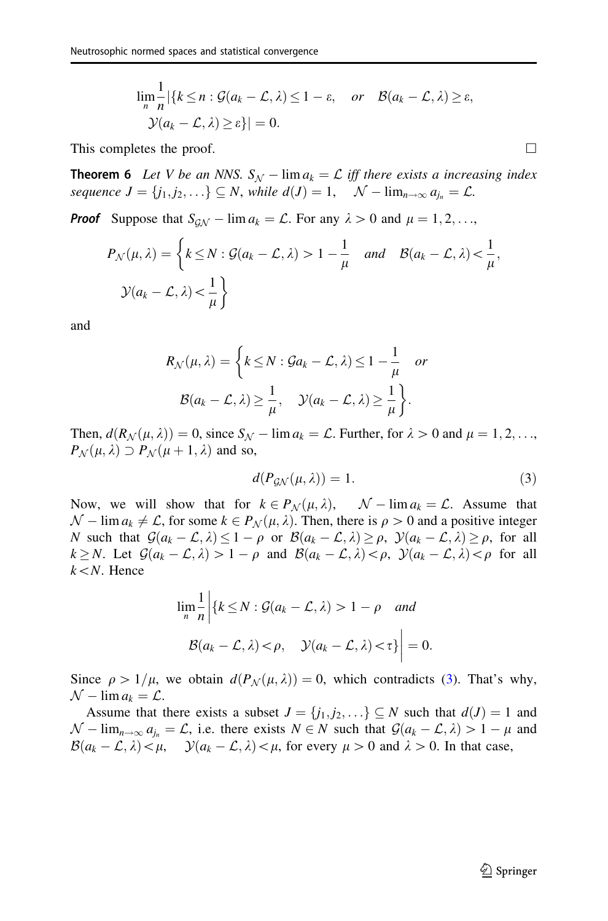<span id="page-10-0"></span>
$$
\lim_{n} \frac{1}{n} |\{k \le n : \mathcal{G}(a_k - \mathcal{L}, \lambda) \le 1 - \varepsilon, \quad or \quad \mathcal{B}(a_k - \mathcal{L}, \lambda) \ge \varepsilon, \mathcal{Y}(a_k - \mathcal{L}, \lambda) \ge \varepsilon\}| = 0.
$$

This completes the proof.  $\Box$ 

**Theorem 6** Let V be an NNS.  $S_N - \lim a_k = \mathcal{L}$  iff there exists a increasing index sequence  $J = \{j_1, j_2, \ldots\} \subseteq N$ , while  $d(J) = 1$ ,  $\mathcal{N} - \lim_{n \to \infty} a_{j_n} = \mathcal{L}$ .

**Proof** Suppose that  $S_{\mathcal{GN}}$  –  $\lim a_k = \mathcal{L}$ . For any  $\lambda > 0$  and  $\mu = 1, 2, \dots$ 

$$
P_N(\mu, \lambda) = \left\{ k \le N : \mathcal{G}(a_k - \mathcal{L}, \lambda) > 1 - \frac{1}{\mu} \quad \text{and} \quad \mathcal{B}(a_k - \mathcal{L}, \lambda) < \frac{1}{\mu},
$$
  

$$
\mathcal{Y}(a_k - \mathcal{L}, \lambda) < \frac{1}{\mu} \right\}
$$

and

$$
R_{\mathcal{N}}(\mu,\lambda) = \left\{ k \le N : \mathcal{G}a_k - \mathcal{L}, \lambda \le 1 - \frac{1}{\mu} \quad \text{or} \quad
$$

$$
\mathcal{B}(a_k - \mathcal{L}, \lambda) \ge \frac{1}{\mu}, \quad \mathcal{Y}(a_k - \mathcal{L}, \lambda) \ge \frac{1}{\mu} \right\}.
$$

Then,  $d(R_N(\mu, \lambda)) = 0$ , since  $S_N - \lim a_k = \mathcal{L}$ . Further, for  $\lambda > 0$  and  $\mu = 1, 2, \ldots$  $P_{\mathcal{N}}(\mu, \lambda) \supset P_{\mathcal{N}}(\mu + 1, \lambda)$  and so,

$$
d(P_{\mathcal{G}\mathcal{N}}(\mu,\lambda)) = 1. \tag{3}
$$

Now, we will show that for  $k \in P_N(\mu, \lambda)$ ,  $\mathcal{N} - \lim a_k = \mathcal{L}$ . Assume that  $\mathcal{N}$  –  $\lim a_k \neq \mathcal{L}$ , for some  $k \in P_{\mathcal{N}}(\mu, \lambda)$ . Then, there is  $\rho > 0$  and a positive integer N such that  $\mathcal{G}(a_k - \mathcal{L}, \lambda) \leq 1 - \rho$  or  $\mathcal{B}(a_k - \mathcal{L}, \lambda) \geq \rho$ ,  $\mathcal{Y}(a_k - \mathcal{L}, \lambda) \geq \rho$ , for all  $k \ge N$ . Let  $\mathcal{G}(a_k - \mathcal{L}, \lambda) > 1 - \rho$  and  $\mathcal{B}(a_k - \mathcal{L}, \lambda) < \rho$ ,  $\mathcal{Y}(a_k - \mathcal{L}, \lambda) < \rho$  for all  $k < N$ . Hence

$$
\lim_{n} \frac{1}{n} \left| \{ k \le N : \mathcal{G}(a_k - \mathcal{L}, \lambda) > 1 - \rho \quad and
$$
  

$$
\mathcal{B}(a_k - \mathcal{L}, \lambda) < \rho, \quad \mathcal{Y}(a_k - \mathcal{L}, \lambda) < \tau \} \right| = 0.
$$

Since  $\rho > 1/\mu$ , we obtain  $d(P_N(\mu, \lambda)) = 0$ , which contradicts (3). That's why,  $\mathcal{N}$  –  $\lim a_k = \mathcal{L}$ .

Assume that there exists a subset  $J = \{j_1, j_2, ...\} \subseteq N$  such that  $d(J) = 1$  and  $\mathcal{N}$  –  $\lim_{n\to\infty} a_{j_n} = \mathcal{L}$ , i.e. there exists  $N \in \mathbb{N}$  such that  $\mathcal{G}(a_k - \mathcal{L}, \lambda) > 1 - \mu$  and  $\mathcal{B}(a_k - \mathcal{L}, \lambda) < \mu, \quad \mathcal{Y}(a_k - \mathcal{L}, \lambda) < \mu$ , for every  $\mu > 0$  and  $\lambda > 0$ . In that case,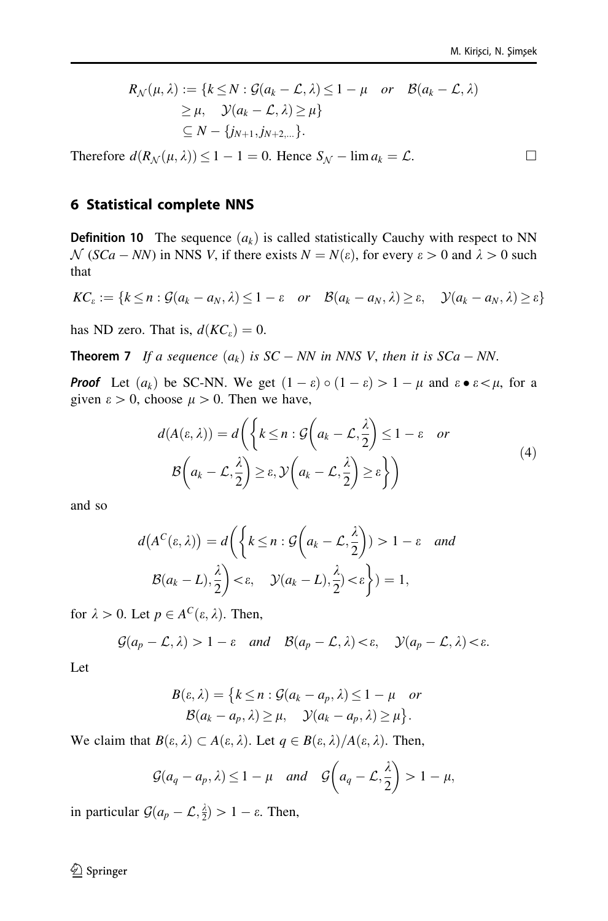<span id="page-11-0"></span>
$$
R_N(\mu, \lambda) := \{k \le N : G(a_k - \mathcal{L}, \lambda) \le 1 - \mu \text{ or } B(a_k - \mathcal{L}, \lambda)
$$
  
\n
$$
\ge \mu, \quad \mathcal{Y}(a_k - \mathcal{L}, \lambda) \ge \mu\}
$$
  
\n
$$
\subseteq N - \{j_{N+1}, j_{N+2,...}\}.
$$

Therefore  $d(R_N(\mu, \lambda)) \leq 1 - 1 = 0$ . Hence  $S_N - \lim a_k = \mathcal{L}$ .

### 6 Statistical complete NNS

**Definition 10** The sequence  $(a_k)$  is called statistically Cauchy with respect to NN  $\mathcal{N}$  (SCa – NN) in NNS V, if there exists  $N = N(\varepsilon)$ , for every  $\varepsilon > 0$  and  $\lambda > 0$  such that

$$
KC_{\varepsilon} := \{ k \leq n : \mathcal{G}(a_k - a_N, \lambda) \leq 1 - \varepsilon \quad or \quad \mathcal{B}(a_k - a_N, \lambda) \geq \varepsilon, \quad \mathcal{Y}(a_k - a_N, \lambda) \geq \varepsilon \}
$$

has ND zero. That is,  $d(KC_{\varepsilon}) = 0$ .

**Theorem 7** If a sequence  $(a_k)$  is  $SC - NN$  in NNS V, then it is  $SCa - NN$ .

**Proof** Let  $(a_k)$  be SC-NN. We get  $(1 - \varepsilon) \circ (1 - \varepsilon) > 1 - \mu$  and  $\varepsilon \bullet \varepsilon < \mu$ , for a given  $\varepsilon > 0$ , choose  $\mu > 0$ . Then we have,

$$
d(A(\varepsilon, \lambda)) = d\left(\left\{k \le n : \mathcal{G}\left(a_k - \mathcal{L}, \frac{\lambda}{2}\right) \le 1 - \varepsilon \quad or \right\}
$$
  

$$
\mathcal{B}\left(a_k - \mathcal{L}, \frac{\lambda}{2}\right) \ge \varepsilon, \mathcal{Y}\left(a_k - \mathcal{L}, \frac{\lambda}{2}\right) \ge \varepsilon\right\}
$$
 (4)

and so

$$
d(AC(\varepsilon, \lambda)) = d\left(\left\{k \le n : \mathcal{G}\left(a_k - \mathcal{L}, \frac{\lambda}{2}\right)\right\} > 1 - \varepsilon \quad \text{and}
$$
\n
$$
\mathcal{B}(a_k - L), \frac{\lambda}{2}\right) < \varepsilon, \quad \mathcal{Y}(a_k - L), \frac{\lambda}{2}\right) < \varepsilon\left\{\right\} = 1,
$$

for  $\lambda > 0$ . Let  $p \in A^C(\varepsilon, \lambda)$ . Then,

$$
\mathcal{G}(a_p-\mathcal{L},\lambda) > 1-\varepsilon \quad \text{and} \quad \mathcal{B}(a_p-\mathcal{L},\lambda) < \varepsilon, \quad \mathcal{Y}(a_p-\mathcal{L},\lambda) < \varepsilon.
$$

Let

$$
B(\varepsilon, \lambda) = \{k \le n : \mathcal{G}(a_k - a_p, \lambda) \le 1 - \mu \text{ or } B(a_k - a_p, \lambda) \ge \mu, \quad \mathcal{Y}(a_k - a_p, \lambda) \ge \mu\}.
$$

We claim that  $B(\varepsilon, \lambda) \subset A(\varepsilon, \lambda)$ . Let  $q \in B(\varepsilon, \lambda)/A(\varepsilon, \lambda)$ . Then,

$$
\mathcal{G}(a_q-a_p,\lambda)\leq 1-\mu \quad \text{and} \quad \mathcal{G}\bigg(a_q-\mathcal{L},\frac{\lambda}{2}\bigg)>1-\mu,
$$

in particular  $\mathcal{G}(a_p - \mathcal{L}, \frac{\lambda}{2}) > 1 - \varepsilon$ . Then,

 $\hat{\mathfrak{D}}$  Springer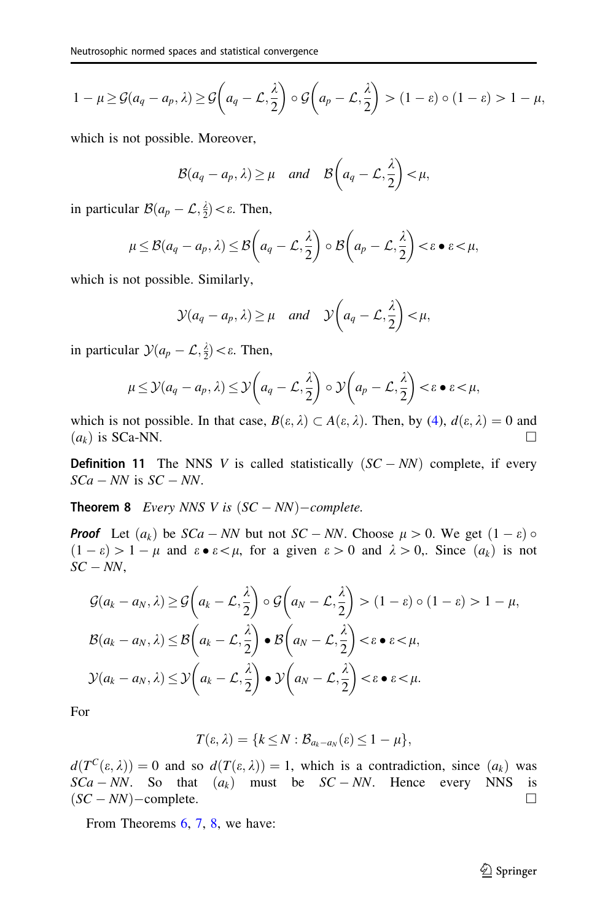$$
1 - \mu \geq \mathcal{G}(a_q - a_p, \lambda) \geq \mathcal{G}\left(a_q - \mathcal{L}, \frac{\lambda}{2}\right) \circ \mathcal{G}\left(a_p - \mathcal{L}, \frac{\lambda}{2}\right) > (1 - \varepsilon) \circ (1 - \varepsilon) > 1 - \mu,
$$

which is not possible. Moreover,

$$
\mathcal{B}(a_q-a_p,\lambda)\geq \mu \quad \text{and} \quad \mathcal{B}\left(a_q-\mathcal{L},\frac{\lambda}{2}\right)<\mu,
$$

in particular  $\mathcal{B}(a_p - \mathcal{L}, \frac{\lambda}{2}) < \varepsilon$ . Then,

$$
\mu \leq \mathcal{B}(a_q - a_p, \lambda) \leq \mathcal{B}\left(a_q - \mathcal{L}, \frac{\lambda}{2}\right) \circ \mathcal{B}\left(a_p - \mathcal{L}, \frac{\lambda}{2}\right) < \varepsilon \bullet \varepsilon < \mu,
$$

which is not possible. Similarly,

$$
\mathcal{Y}(a_q - a_p, \lambda) \ge \mu
$$
 and  $\mathcal{Y}\left(a_q - \mathcal{L}, \frac{\lambda}{2}\right) < \mu$ ,

in particular  $\mathcal{Y}(a_p - \mathcal{L}, \frac{\lambda}{2}) < \varepsilon$ . Then,

$$
\mu \leq \mathcal{Y}(a_q - a_p, \lambda) \leq \mathcal{Y}\left(a_q - \mathcal{L}, \frac{\lambda}{2}\right) \circ \mathcal{Y}\left(a_p - \mathcal{L}, \frac{\lambda}{2}\right) < \varepsilon \bullet \varepsilon < \mu,
$$

which is not possible. In that case,  $B(\varepsilon, \lambda) \subset A(\varepsilon, \lambda)$ . Then, by [\(4](#page-11-0)),  $d(\varepsilon, \lambda) = 0$  and  $(a_k)$  is SCa-NN.

**Definition 11** The NNS V is called statistically  $(SC - NN)$  complete, if every  $SCa - NN$  is  $SC - NN$ .

**Theorem 8** Every NNS V is  $(SC - NN)$ -complete.

**Proof** Let  $(a_k)$  be  $SCa - NN$  but not  $SC - NN$ . Choose  $\mu > 0$ . We get  $(1 - \varepsilon) \circ$  $(1 - \varepsilon) > 1 - \mu$  and  $\varepsilon \bullet \varepsilon < \mu$ , for a given  $\varepsilon > 0$  and  $\lambda > 0$ . Since  $(a_k)$  is not  $SC - NN$ ,

$$
G(a_k - a_N, \lambda) \ge G\left(a_k - \mathcal{L}, \frac{\lambda}{2}\right) \circ G\left(a_N - \mathcal{L}, \frac{\lambda}{2}\right) > (1 - \varepsilon) \circ (1 - \varepsilon) > 1 - \mu,
$$
  
\n
$$
B(a_k - a_N, \lambda) \le B\left(a_k - \mathcal{L}, \frac{\lambda}{2}\right) \bullet B\left(a_N - \mathcal{L}, \frac{\lambda}{2}\right) < \varepsilon \bullet \varepsilon < \mu,
$$
  
\n
$$
Y(a_k - a_N, \lambda) \le Y\left(a_k - \mathcal{L}, \frac{\lambda}{2}\right) \bullet Y\left(a_N - \mathcal{L}, \frac{\lambda}{2}\right) < \varepsilon \bullet \varepsilon < \mu.
$$

For

$$
T(\varepsilon,\lambda)=\{k\leq N:\mathcal{B}_{a_k-a_N}(\varepsilon)\leq 1-\mu\},\,
$$

 $d(T^C(\varepsilon, \lambda)) = 0$  and so  $d(T(\varepsilon, \lambda)) = 1$ , which is a contradiction, since  $(a_k)$  was  $SCa - NN$ . So that  $(a_k)$  must be  $SC - NN$ . Hence every NNS is  $(SC - NN)$  complete.

From Theorems [6,](#page-10-0) [7](#page-11-0), 8, we have: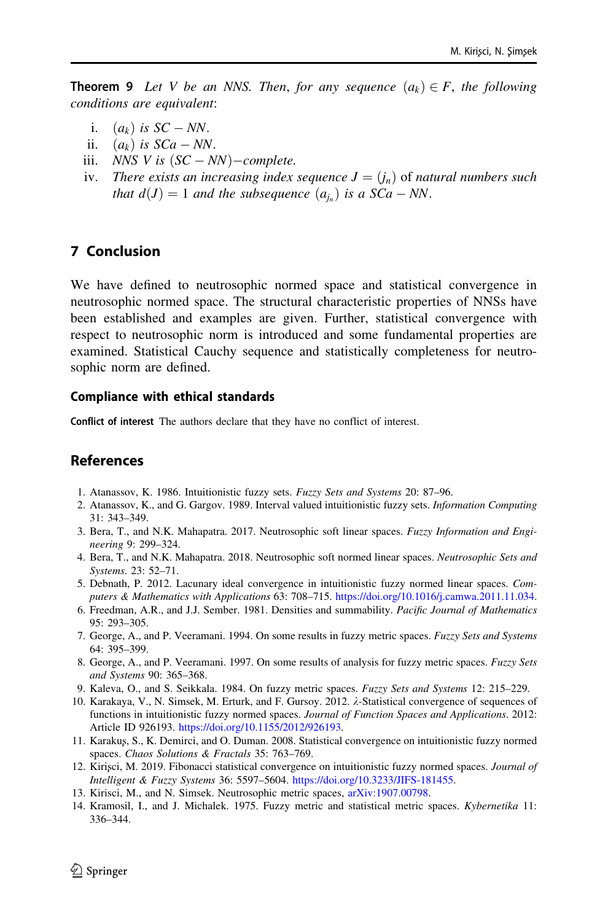<span id="page-13-0"></span>**Theorem 9** Let V be an NNS. Then, for any sequence  $(a_k) \in F$ , the following conditions are equivalent:

- i.  $(a_k)$  is  $SC NN$ .
- ii.  $(a_k)$  is  $SCa NN$ .
- iii. NNS V is  $(SC NN)$ -complete.
- iv. There exists an increasing index sequence  $J = (j_n)$  of natural numbers such that  $d(J) = 1$  and the subsequence  $(a_{i_n})$  is a  $SCa - NN$ .

### 7 Conclusion

We have defined to neutrosophic normed space and statistical convergence in neutrosophic normed space. The structural characteristic properties of NNSs have been established and examples are given. Further, statistical convergence with respect to neutrosophic norm is introduced and some fundamental properties are examined. Statistical Cauchy sequence and statistically completeness for neutrosophic norm are defined.

#### Compliance with ethical standards

Conflict of interest The authors declare that they have no conflict of interest.

### References

- 1. Atanassov, K. 1986. Intuitionistic fuzzy sets. Fuzzy Sets and Systems 20: 87–96.
- 2. Atanassov, K., and G. Gargov. 1989. Interval valued intuitionistic fuzzy sets. Information Computing 31: 343–349.
- 3. Bera, T., and N.K. Mahapatra. 2017. Neutrosophic soft linear spaces. Fuzzy Information and Engineering 9: 299–324.
- 4. Bera, T., and N.K. Mahapatra. 2018. Neutrosophic soft normed linear spaces. Neutrosophic Sets and Systems. 23: 52–71.
- 5. Debnath, P. 2012. Lacunary ideal convergence in intuitionistic fuzzy normed linear spaces. Computers & Mathematics with Applications 63: 708–715. <https://doi.org/10.1016/j.camwa.2011.11.034>.
- 6. Freedman, A.R., and J.J. Sember. 1981. Densities and summability. Pacific Journal of Mathematics 95: 293–305.
- 7. George, A., and P. Veeramani. 1994. On some results in fuzzy metric spaces. Fuzzy Sets and Systems 64: 395–399.
- 8. George, A., and P. Veeramani. 1997. On some results of analysis for fuzzy metric spaces. Fuzzy Sets and Systems 90: 365–368.
- 9. Kaleva, O., and S. Seikkala. 1984. On fuzzy metric spaces. Fuzzy Sets and Systems 12: 215–229.
- 10. Karakaya, V., N. Simsek, M. Erturk, and F. Gursoy. 2012.  $\lambda$ -Statistical convergence of sequences of functions in intuitionistic fuzzy normed spaces. Journal of Function Spaces and Applications. 2012: Article ID 926193. [https://doi.org/10.1155/2012/926193.](https://doi.org/10.1155/2012/926193)
- 11. Karakus¸, S., K. Demirci, and O. Duman. 2008. Statistical convergence on intuitionistic fuzzy normed spaces. Chaos Solutions & Fractals 35: 763–769.
- 12. Kirisci, M. 2019. Fibonacci statistical convergence on intuitionistic fuzzy normed spaces. Journal of Intelligent & Fuzzy Systems 36: 5597–5604. [https://doi.org/10.3233/JIFS-181455.](https://doi.org/10.3233/JIFS-181455)
- 13. Kirisci, M., and N. Simsek. Neutrosophic metric spaces, [arXiv:1907.00798.](http://arxiv.org/abs/1907.00798)
- 14. Kramosil, I., and J. Michalek. 1975. Fuzzy metric and statistical metric spaces. Kybernetika 11: 336–344.